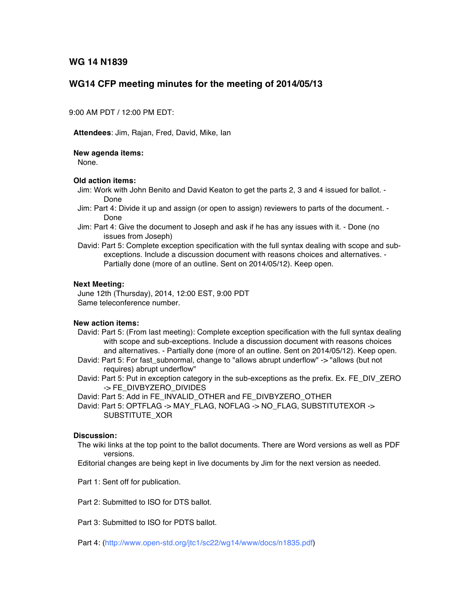**WG 14 N1839**

# **WG14 CFP meeting minutes for the meeting of 2014/05/13**

9:00 AM PDT / 12:00 PM EDT:

**Attendees**: Jim, Rajan, Fred, David, Mike, Ian

**New agenda items:**

None.

#### **Old action items:**

- Jim: Work with John Benito and David Keaton to get the parts 2, 3 and 4 issued for ballot. Done
- Jim: Part 4: Divide it up and assign (or open to assign) reviewers to parts of the document. Done
- Jim: Part 4: Give the document to Joseph and ask if he has any issues with it. Done (no issues from Joseph)
- David: Part 5: Complete exception specification with the full syntax dealing with scope and subexceptions. Include a discussion document with reasons choices and alternatives. - Partially done (more of an outline. Sent on 2014/05/12). Keep open.

### **Next Meeting:**

June 12th (Thursday), 2014, 12:00 EST, 9:00 PDT Same teleconference number.

## **New action items:**

- David: Part 5: (From last meeting): Complete exception specification with the full syntax dealing with scope and sub-exceptions. Include a discussion document with reasons choices and alternatives. - Partially done (more of an outline. Sent on 2014/05/12). Keep open.
- David: Part 5: For fast\_subnormal, change to "allows abrupt underflow" -> "allows (but not requires) abrupt underflow"
- David: Part 5: Put in exception category in the sub-exceptions as the prefix. Ex. FE\_DIV\_ZERO -> FE\_DIVBYZERO\_DIVIDES
- David: Part 5: Add in FE\_INVALID\_OTHER and FE\_DIVBYZERO\_OTHER
- David: Part 5: OPTFLAG -> MAY\_FLAG, NOFLAG -> NO\_FLAG, SUBSTITUTEXOR -> SUBSTITUTE\_XOR

### **Discussion:**

- The wiki links at the top point to the ballot documents. There are Word versions as well as PDF versions.
- Editorial changes are being kept in live documents by Jim for the next version as needed.
- Part 1: Sent off for publication.
- Part 2: Submitted to ISO for DTS ballot.
- Part 3: Submitted to ISO for PDTS ballot.
- Part 4: (http://www.open-std.org/jtc1/sc22/wg14/www/docs/n1835.pdf)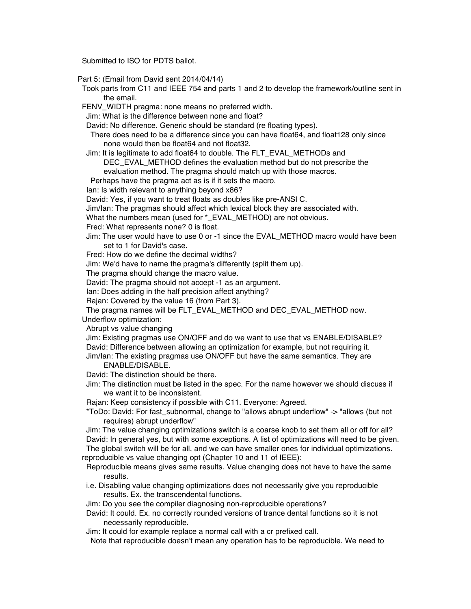Submitted to ISO for PDTS ballot.

Part 5: (Email from David sent 2014/04/14)

- Took parts from C11 and IEEE 754 and parts 1 and 2 to develop the framework/outline sent in the email.
- FENV\_WIDTH pragma: none means no preferred width.

Jim: What is the difference between none and float?

David: No difference. Generic should be standard (re floating types).

- There does need to be a difference since you can have float64, and float128 only since none would then be float64 and not float32.
- Jim: It is legitimate to add float64 to double. The FLT\_EVAL\_METHODs and
	- DEC\_EVAL\_METHOD defines the evaluation method but do not prescribe the evaluation method. The pragma should match up with those macros.

Perhaps have the pragma act as is if it sets the macro.

- Ian: Is width relevant to anything beyond x86?
- David: Yes, if you want to treat floats as doubles like pre-ANSI C.
- Jim/Ian: The pragmas should affect which lexical block they are associated with.

What the numbers mean (used for \* EVAL\_METHOD) are not obvious.

Fred: What represents none? 0 is float.

Jim: The user would have to use 0 or -1 since the EVAL\_METHOD macro would have been set to 1 for David's case.

Fred: How do we define the decimal widths?

Jim: We'd have to name the pragma's differently (split them up).

The pragma should change the macro value.

David: The pragma should not accept -1 as an argument.

Ian: Does adding in the half precision affect anything?

Rajan: Covered by the value 16 (from Part 3).

The pragma names will be FLT\_EVAL\_METHOD and DEC\_EVAL\_METHOD now. Underflow optimization:

Abrupt vs value changing

Jim: Existing pragmas use ON/OFF and do we want to use that vs ENABLE/DISABLE? David: Difference between allowing an optimization for example, but not requiring it.

Jim/Ian: The existing pragmas use ON/OFF but have the same semantics. They are ENABLE/DISABLE.

David: The distinction should be there.

Jim: The distinction must be listed in the spec. For the name however we should discuss if we want it to be inconsistent.

Rajan: Keep consistency if possible with C11. Everyone: Agreed.

\*ToDo: David: For fast\_subnormal, change to "allows abrupt underflow" -> "allows (but not requires) abrupt underflow"

Jim: The value changing optimizations switch is a coarse knob to set them all or off for all? David: In general yes, but with some exceptions. A list of optimizations will need to be given.

The global switch will be for all, and we can have smaller ones for individual optimizations. reproducible vs value changing opt (Chapter 10 and 11 of IEEE):

- Reproducible means gives same results. Value changing does not have to have the same results.
- i.e. Disabling value changing optimizations does not necessarily give you reproducible results. Ex. the transcendental functions.

Jim: Do you see the compiler diagnosing non-reproducible operations?

David: It could. Ex. no correctly rounded versions of trance dental functions so it is not necessarily reproducible.

Jim: It could for example replace a normal call with a cr prefixed call.

Note that reproducible doesn't mean any operation has to be reproducible. We need to